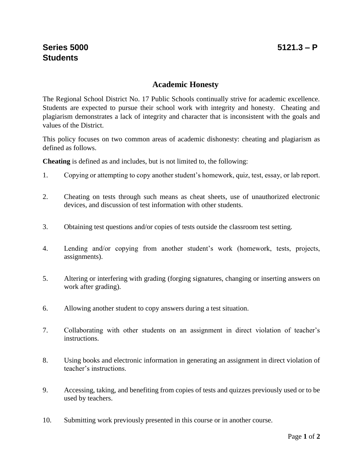## **Academic Honesty**

The Regional School District No. 17 Public Schools continually strive for academic excellence. Students are expected to pursue their school work with integrity and honesty. Cheating and plagiarism demonstrates a lack of integrity and character that is inconsistent with the goals and values of the District.

This policy focuses on two common areas of academic dishonesty: cheating and plagiarism as defined as follows.

**Cheating** is defined as and includes, but is not limited to, the following:

- 1. Copying or attempting to copy another student's homework, quiz, test, essay, or lab report.
- 2. Cheating on tests through such means as cheat sheets, use of unauthorized electronic devices, and discussion of test information with other students.
- 3. Obtaining test questions and/or copies of tests outside the classroom test setting.
- 4. Lending and/or copying from another student's work (homework, tests, projects, assignments).
- 5. Altering or interfering with grading (forging signatures, changing or inserting answers on work after grading).
- 6. Allowing another student to copy answers during a test situation.
- 7. Collaborating with other students on an assignment in direct violation of teacher's instructions.
- 8. Using books and electronic information in generating an assignment in direct violation of teacher's instructions.
- 9. Accessing, taking, and benefiting from copies of tests and quizzes previously used or to be used by teachers.
- 10. Submitting work previously presented in this course or in another course.